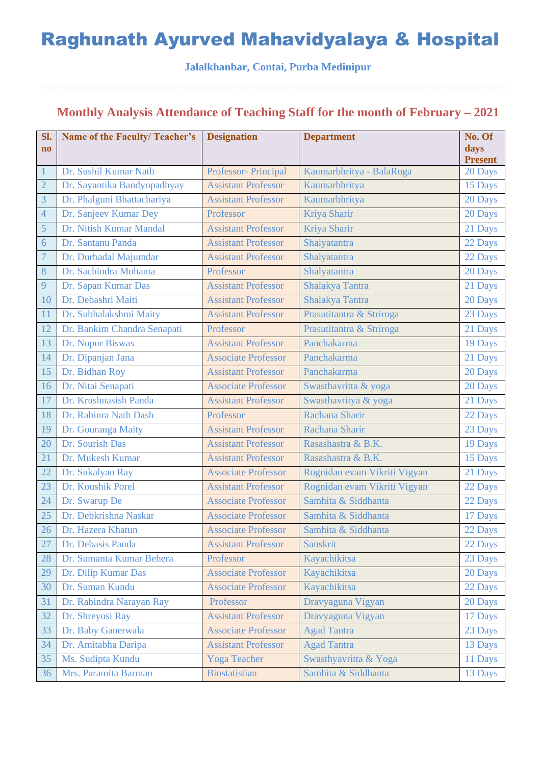**Jalalkhanbar, Contai, Purba Medinipur**

===================================================================================

### **Monthly Analysis Attendance of Teaching Staff for the month of February – 2021**

| Sl.                    | <b>Name of the Faculty/Teacher's</b> | <b>Designation</b>         | <b>Department</b>            | No. Of                 |
|------------------------|--------------------------------------|----------------------------|------------------------------|------------------------|
| $\mathbf{n}\mathbf{o}$ |                                      |                            |                              | days<br><b>Present</b> |
| $\mathbf{1}$           | Dr. Sushil Kumar Nath                | Professor- Principal       | Kaumarbhritya - BalaRoga     | 20 Days                |
| $\overline{2}$         | Dr. Sayantika Bandyopadhyay          | <b>Assistant Professor</b> | Kaumarbhritya                | 15 Days                |
| 3                      | Dr. Phalguni Bhattachariya           | <b>Assistant Professor</b> | Kaumarbhritya                | 20 Days                |
| $\overline{4}$         | Dr. Sanjeev Kumar Dey                | Professor                  | Kriya Sharir                 | 20 Days                |
| 5                      | Dr. Nitish Kumar Mandal              | <b>Assistant Professor</b> | Kriya Sharir                 | 21 Days                |
| 6                      | Dr. Santanu Panda                    | <b>Assistant Professor</b> | Shalyatantra                 | 22 Days                |
| $\overline{7}$         | Dr. Durbadal Majumdar                | <b>Assistant Professor</b> | Shalyatantra                 | 22 Days                |
| 8                      | Dr. Sachindra Mohanta                | Professor                  | Shalyatantra                 | 20 Days                |
| 9                      | Dr. Sapan Kumar Das                  | <b>Assistant Professor</b> | Shalakya Tantra              | 21 Days                |
| 10                     | Dr. Debashri Maiti                   | <b>Assistant Professor</b> | Shalakya Tantra              | 20 Days                |
| 11                     | Dr. Subhalakshmi Maity               | <b>Assistant Professor</b> | Prasutitantra & Striroga     | 23 Days                |
| 12                     | Dr. Bankim Chandra Senapati          | Professor                  | Prasutitantra & Striroga     | 21 Days                |
| 13                     | Dr. Nupur Biswas                     | <b>Assistant Professor</b> | Panchakarma                  | 19 Days                |
| 14                     | Dr. Dipanjan Jana                    | <b>Associate Professor</b> | Panchakarma                  | 21 Days                |
| 15                     | Dr. Bidhan Roy                       | <b>Assistant Professor</b> | Panchakarma                  | 20 Days                |
| 16                     | Dr. Nitai Senapati                   | <b>Associate Professor</b> | Swasthavritta & yoga         | 20 Days                |
| 17                     | Dr. Krushnasish Panda                | <b>Assistant Professor</b> | Swasthavritya & yoga         | 21 Days                |
| 18                     | Dr. Rabinra Nath Dash                | Professor                  | Rachana Sharir               | 22 Days                |
| 19                     | Dr. Gouranga Maity                   | <b>Assistant Professor</b> | Rachana Sharir               | 23 Days                |
| 20                     | Dr. Sourish Das                      | <b>Assistant Professor</b> | Rasashastra & B.K.           | 19 Days                |
| 21                     | Dr. Mukesh Kumar                     | <b>Assistant Professor</b> | Rasashastra & B.K.           | 15 Days                |
| 22                     | Dr. Sukalyan Ray                     | <b>Associate Professor</b> | Rognidan evam Vikriti Vigyan | 21 Days                |
| 23                     | Dr. Koushik Porel                    | <b>Assistant Professor</b> | Rognidan evam Vikriti Vigyan | 22 Days                |
| 24                     | Dr. Swarup De                        | <b>Associate Professor</b> | Samhita & Siddhanta          | 22 Days                |
| 25                     | Dr. Debkrishna Naskar                | <b>Associate Professor</b> | Samhita & Siddhanta          | 17 Days                |
| 26                     | Dr. Hazera Khatun                    | <b>Associate Professor</b> | Samhita & Siddhanta          | 22 Days                |
| 27                     | Dr. Debasis Panda                    | <b>Assistant Professor</b> | <b>Sanskrit</b>              | 22 Days                |
| 28                     | Dr. Sumanta Kumar Behera             | Professor                  | Kayachikitsa                 | 23 Days                |
| 29                     | Dr. Dilip Kumar Das                  | <b>Associate Professor</b> | Kayachikitsa                 | 20 Days                |
| 30                     | Dr. Suman Kundu                      | <b>Associate Professor</b> | Kayachikitsa                 | 22 Days                |
| 31                     | Dr. Rabindra Narayan Ray             | Professor                  | Dravyaguna Vigyan            | 20 Days                |
| 32                     | Dr. Shreyosi Ray                     | <b>Assistant Professor</b> | Dravyaguna Vigyan            | 17 Days                |
| 33                     | Dr. Baby Ganerwala                   | <b>Associate Professor</b> | <b>Agad Tantra</b>           | 23 Days                |
| 34                     | Dr. Amitabha Daripa                  | <b>Assistant Professor</b> | <b>Agad Tantra</b>           | 13 Days                |
| 35                     | Ms. Sudipta Kundu                    | <b>Yoga Teacher</b>        | Swasthyavritta & Yoga        | 11 Days                |
| 36                     | Mrs. Paramita Barman                 | <b>Biostatistian</b>       | Samhita & Siddhanta          | 13 Days                |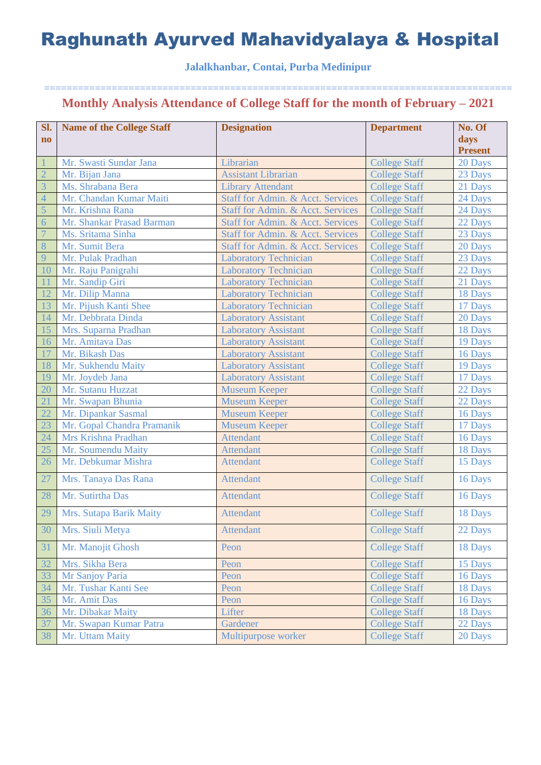### **Jalalkhanbar, Contai, Purba Medinipur**

| Sl.            | <b>Name of the College Staff</b> | <b>Designation</b>                | <b>Department</b>    | No. Of         |
|----------------|----------------------------------|-----------------------------------|----------------------|----------------|
| $\mathbf{n}$   |                                  |                                   |                      | days           |
|                |                                  |                                   |                      | <b>Present</b> |
|                | Mr. Swasti Sundar Jana           | Librarian                         | <b>College Staff</b> | 20 Days        |
| $\overline{2}$ | Mr. Bijan Jana                   | <b>Assistant Librarian</b>        | <b>College Staff</b> | 23 Days        |
| $\overline{3}$ | Ms. Shrabana Bera                | <b>Library Attendant</b>          | <b>College Staff</b> | 21 Days        |
| $\overline{4}$ | Mr. Chandan Kumar Maiti          | Staff for Admin. & Acct. Services | <b>College Staff</b> | 24 Days        |
| 5              | Mr. Krishna Rana                 | Staff for Admin. & Acct. Services | <b>College Staff</b> | 24 Days        |
| $\overline{6}$ | Mr. Shankar Prasad Barman        | Staff for Admin. & Acct. Services | <b>College Staff</b> | 22 Days        |
| $\overline{7}$ | Ms. Sritama Sinha                | Staff for Admin. & Acct. Services | <b>College Staff</b> | 23 Days        |
| 8              | Mr. Sumit Bera                   | Staff for Admin. & Acct. Services | <b>College Staff</b> | 20 Days        |
| 9              | Mr. Pulak Pradhan                | <b>Laboratory Technician</b>      | <b>College Staff</b> | 23 Days        |
| 10             | Mr. Raju Panigrahi               | <b>Laboratory Technician</b>      | <b>College Staff</b> | 22 Days        |
| 11             | Mr. Sandip Giri                  | <b>Laboratory Technician</b>      | <b>College Staff</b> | 21 Days        |
| 12             | Mr. Dilip Manna                  | <b>Laboratory Technician</b>      | <b>College Staff</b> | 18 Days        |
| 13             | Mr. Pijush Kanti Shee            | <b>Laboratory Technician</b>      | <b>College Staff</b> | 17 Days        |
| 14             | Mr. Debbrata Dinda               | <b>Laboratory Assistant</b>       | <b>College Staff</b> | 20 Days        |
| 15             | Mrs. Suparna Pradhan             | <b>Laboratory Assistant</b>       | <b>College Staff</b> | 18 Days        |
| 16             | Mr. Amitava Das                  | <b>Laboratory Assistant</b>       | <b>College Staff</b> | 19 Days        |
| 17             | Mr. Bikash Das                   | <b>Laboratory Assistant</b>       | <b>College Staff</b> | 16 Days        |
| 18             | Mr. Sukhendu Maity               | <b>Laboratory Assistant</b>       | <b>College Staff</b> | 19 Days        |
| 19             | Mr. Joydeb Jana                  | <b>Laboratory Assistant</b>       | <b>College Staff</b> | 17 Days        |
| 20             | Mr. Sutanu Huzzat                | <b>Museum Keeper</b>              | <b>College Staff</b> | 22 Days        |
| 21             | Mr. Swapan Bhunia                | <b>Museum Keeper</b>              | <b>College Staff</b> | 22 Days        |
| 22             | Mr. Dipankar Sasmal              | <b>Museum Keeper</b>              | <b>College Staff</b> | 16 Days        |
| 23             | Mr. Gopal Chandra Pramanik       | <b>Museum Keeper</b>              | <b>College Staff</b> | 17 Days        |
| 24             | Mrs Krishna Pradhan              | <b>Attendant</b>                  | <b>College Staff</b> | 16 Days        |
| 25             | Mr. Soumendu Maity               | <b>Attendant</b>                  | <b>College Staff</b> | 18 Days        |
| 26             | Mr. Debkumar Mishra              | Attendant                         | <b>College Staff</b> | 15 Days        |
| 27             | Mrs. Tanaya Das Rana             | <b>Attendant</b>                  | <b>College Staff</b> | 16 Days        |
| 28             | Mr. Sutirtha Das                 | <b>Attendant</b>                  | <b>College Staff</b> | 16 Days        |
| 29             | Mrs. Sutapa Barik Maity          | <b>Attendant</b>                  | <b>College Staff</b> | 18 Days        |
| 30             | Mrs. Siuli Metya                 | <b>Attendant</b>                  | <b>College Staff</b> | 22 Days        |
| 31             | Mr. Manojit Ghosh                | Peon                              | <b>College Staff</b> | 18 Days        |
| 32             | Mrs. Sikha Bera                  | Peon                              | <b>College Staff</b> | 15 Days        |
| 33             | Mr Sanjoy Paria                  | Peon                              | <b>College Staff</b> | 16 Days        |
| 34             | Mr. Tushar Kanti See             | Peon                              | <b>College Staff</b> | 18 Days        |
| 35             | Mr. Amit Das                     | Peon                              | <b>College Staff</b> | 16 Days        |
| 36             | Mr. Dibakar Maity                | Lifter                            | <b>College Staff</b> | 18 Days        |
| 37             | Mr. Swapan Kumar Patra           | Gardener                          | <b>College Staff</b> | 22 Days        |
| 38             | Mr. Uttam Maity                  | Multipurpose worker               | <b>College Staff</b> | 20 Days        |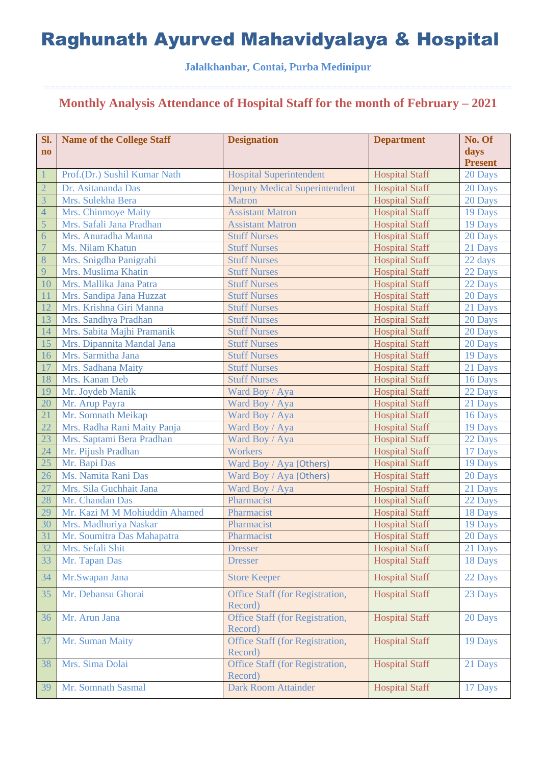### **Jalalkhanbar, Contai, Purba Medinipur**

| Sl.                    | <b>Name of the College Staff</b> | <b>Designation</b>                         | <b>Department</b>     | No. Of         |
|------------------------|----------------------------------|--------------------------------------------|-----------------------|----------------|
| $\mathbf{n}\mathbf{o}$ |                                  |                                            |                       | days           |
|                        |                                  |                                            |                       | <b>Present</b> |
| $\mathbf{1}$           | Prof.(Dr.) Sushil Kumar Nath     | <b>Hospital Superintendent</b>             | <b>Hospital Staff</b> | 20 Days        |
| $\overline{2}$         | Dr. Asitananda Das               | <b>Deputy Medical Superintendent</b>       | <b>Hospital Staff</b> | 20 Days        |
| $\overline{3}$         | Mrs. Sulekha Bera                | <b>Matron</b>                              | <b>Hospital Staff</b> | 20 Days        |
| $\overline{4}$         | Mrs. Chinmoye Maity              | <b>Assistant Matron</b>                    | <b>Hospital Staff</b> | 19 Days        |
| 5                      | Mrs. Safali Jana Pradhan         | <b>Assistant Matron</b>                    | <b>Hospital Staff</b> | 19 Days        |
| $\overline{6}$         | Mrs. Anuradha Manna              | <b>Stuff Nurses</b>                        | <b>Hospital Staff</b> | 20 Days        |
| $\overline{7}$         | Ms. Nilam Khatun                 | <b>Stuff Nurses</b>                        | <b>Hospital Staff</b> | 21 Days        |
| $8\phantom{1}$         | Mrs. Snigdha Panigrahi           | <b>Stuff Nurses</b>                        | <b>Hospital Staff</b> | 22 days        |
| 9                      | Mrs. Muslima Khatin              | <b>Stuff Nurses</b>                        | <b>Hospital Staff</b> | 22 Days        |
| 10                     | Mrs. Mallika Jana Patra          | <b>Stuff Nurses</b>                        | <b>Hospital Staff</b> | 22 Days        |
| 11                     | Mrs. Sandipa Jana Huzzat         | <b>Stuff Nurses</b>                        | <b>Hospital Staff</b> | 20 Days        |
| 12                     | Mrs. Krishna Giri Manna          | <b>Stuff Nurses</b>                        | <b>Hospital Staff</b> | 21 Days        |
| 13                     | Mrs. Sandhya Pradhan             | <b>Stuff Nurses</b>                        | <b>Hospital Staff</b> | 20 Days        |
| 14                     | Mrs. Sabita Majhi Pramanik       | <b>Stuff Nurses</b>                        | <b>Hospital Staff</b> | 20 Days        |
| 15                     | Mrs. Dipannita Mandal Jana       | <b>Stuff Nurses</b>                        | <b>Hospital Staff</b> | 20 Days        |
| 16                     | Mrs. Sarmitha Jana               | <b>Stuff Nurses</b>                        | <b>Hospital Staff</b> | 19 Days        |
| 17                     | Mrs. Sadhana Maity               | <b>Stuff Nurses</b>                        | <b>Hospital Staff</b> | 21 Days        |
| 18                     | Mrs. Kanan Deb                   | <b>Stuff Nurses</b>                        | <b>Hospital Staff</b> | 16 Days        |
| 19                     | Mr. Joydeb Manik                 | Ward Boy / Aya                             | <b>Hospital Staff</b> | 22 Days        |
| 20                     | Mr. Arup Payra                   | Ward Boy / Aya                             | <b>Hospital Staff</b> | 21 Days        |
| 21                     | Mr. Somnath Meikap               | Ward Boy / Aya                             | <b>Hospital Staff</b> | 16 Days        |
| 22                     | Mrs. Radha Rani Maity Panja      | Ward Boy / Aya                             | <b>Hospital Staff</b> | 19 Days        |
| 23                     | Mrs. Saptami Bera Pradhan        | Ward Boy / Aya                             | <b>Hospital Staff</b> | 22 Days        |
| 24                     | Mr. Pijush Pradhan               | Workers                                    | <b>Hospital Staff</b> | 17 Days        |
| 25                     | Mr. Bapi Das                     | Ward Boy / Aya (Others)                    | <b>Hospital Staff</b> | 19 Days        |
| 26                     | Ms. Namita Rani Das              | Ward Boy / Aya (Others)                    | <b>Hospital Staff</b> | 20 Days        |
| 27                     | Mrs. Sila Guchhait Jana          | Ward Boy / Aya                             | <b>Hospital Staff</b> | 21 Days        |
| 28                     | Mr. Chandan Das                  | Pharmacist                                 | <b>Hospital Staff</b> | 22 Days        |
| 29                     | Mr. Kazi M M Mohiuddin Ahamed    | Pharmacist                                 | <b>Hospital Staff</b> | 18 Days        |
| 30                     | Mrs. Madhuriya Naskar            | Pharmacist                                 | <b>Hospital Staff</b> | 19 Days        |
| 31                     | Mr. Soumitra Das Mahapatra       | Pharmacist                                 | <b>Hospital Staff</b> | 20 Days        |
| 32                     | Mrs. Sefali Shit                 | <b>Dresser</b>                             | <b>Hospital Staff</b> | 21 Days        |
| 33                     | Mr. Tapan Das                    | <b>Dresser</b>                             | <b>Hospital Staff</b> | 18 Days        |
|                        |                                  |                                            |                       |                |
| 34                     | Mr.Swapan Jana                   | <b>Store Keeper</b>                        | <b>Hospital Staff</b> | 22 Days        |
| 35                     | Mr. Debansu Ghorai               | Office Staff (for Registration,<br>Record) | <b>Hospital Staff</b> | 23 Days        |
| 36                     | Mr. Arun Jana                    | Office Staff (for Registration,<br>Record) | <b>Hospital Staff</b> | 20 Days        |
| 37                     | Mr. Suman Maity                  | Office Staff (for Registration,<br>Record) | <b>Hospital Staff</b> | 19 Days        |
| 38                     | Mrs. Sima Dolai                  | Office Staff (for Registration,<br>Record) | <b>Hospital Staff</b> | 21 Days        |
| 39                     | Mr. Somnath Sasmal               | <b>Dark Room Attainder</b>                 | <b>Hospital Staff</b> | 17 Days        |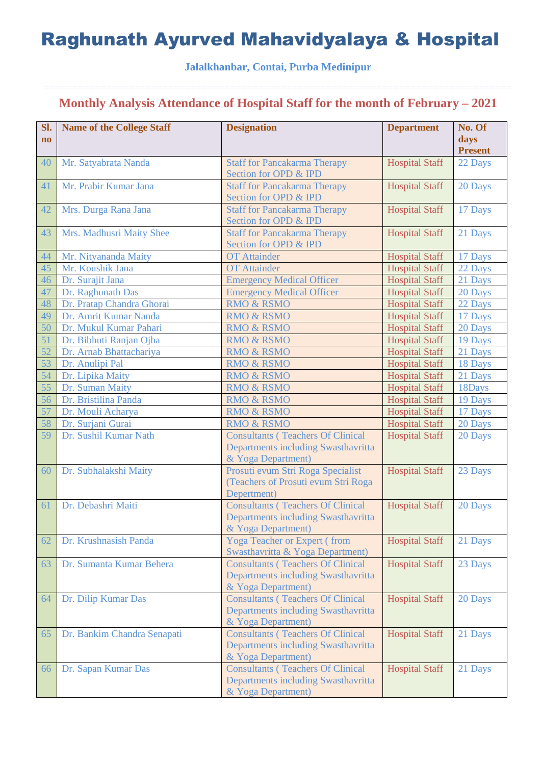### **Jalalkhanbar, Contai, Purba Medinipur**

| Sl.<br>$\mathbf{n}\mathbf{o}$ | <b>Name of the College Staff</b> | <b>Designation</b>                                           | <b>Department</b>     | No. Of<br>days            |
|-------------------------------|----------------------------------|--------------------------------------------------------------|-----------------------|---------------------------|
| 40                            | Mr. Satyabrata Nanda             |                                                              | <b>Hospital Staff</b> | <b>Present</b><br>22 Days |
|                               |                                  | <b>Staff for Pancakarma Therapy</b><br>Section for OPD & IPD |                       |                           |
| 41                            | Mr. Prabir Kumar Jana            | <b>Staff for Pancakarma Therapy</b>                          | <b>Hospital Staff</b> | 20 Days                   |
|                               |                                  | Section for OPD & IPD                                        |                       |                           |
| 42                            | Mrs. Durga Rana Jana             | <b>Staff for Pancakarma Therapy</b>                          | <b>Hospital Staff</b> | 17 Days                   |
|                               |                                  | Section for OPD & IPD                                        |                       |                           |
| 43                            | Mrs. Madhusri Maity Shee         | <b>Staff for Pancakarma Therapy</b>                          | <b>Hospital Staff</b> | 21 Days                   |
|                               |                                  | Section for OPD & IPD                                        |                       |                           |
| 44                            | Mr. Nityananda Maity             | <b>OT</b> Attainder                                          | <b>Hospital Staff</b> | 17 Days                   |
| 45                            | Mr. Koushik Jana                 | <b>OT</b> Attainder                                          | <b>Hospital Staff</b> | 22 Days                   |
| 46                            | Dr. Surajit Jana                 | <b>Emergency Medical Officer</b>                             | <b>Hospital Staff</b> | 21 Days                   |
| 47                            | Dr. Raghunath Das                | <b>Emergency Medical Officer</b>                             | <b>Hospital Staff</b> | 20 Days                   |
| 48                            | Dr. Pratap Chandra Ghorai        | <b>RMO &amp; RSMO</b>                                        | <b>Hospital Staff</b> | 22 Days                   |
| 49                            | Dr. Amrit Kumar Nanda            | <b>RMO &amp; RSMO</b>                                        | <b>Hospital Staff</b> | 17 Days                   |
| 50                            | Dr. Mukul Kumar Pahari           | <b>RMO &amp; RSMO</b>                                        | <b>Hospital Staff</b> | 20 Days                   |
| 51                            | Dr. Bibhuti Ranjan Ojha          | <b>RMO &amp; RSMO</b>                                        | <b>Hospital Staff</b> | 19 Days                   |
| 52                            | Dr. Arnab Bhattachariya          | <b>RMO &amp; RSMO</b>                                        | <b>Hospital Staff</b> | 21 Days                   |
| 53                            | Dr. Anulipi Pal                  | <b>RMO &amp; RSMO</b>                                        | <b>Hospital Staff</b> | 18 Days                   |
| 54                            | Dr. Lipika Maity                 | <b>RMO &amp; RSMO</b>                                        | <b>Hospital Staff</b> | 21 Days                   |
| 55                            | Dr. Suman Maity                  | <b>RMO &amp; RSMO</b>                                        | <b>Hospital Staff</b> | 18Days                    |
| 56                            | Dr. Bristilina Panda             | <b>RMO &amp; RSMO</b>                                        | <b>Hospital Staff</b> | 19 Days                   |
| 57                            | Dr. Mouli Acharya                | <b>RMO &amp; RSMO</b>                                        | <b>Hospital Staff</b> | 17 Days                   |
| 58                            | Dr. Surjani Gurai                | <b>RMO &amp; RSMO</b>                                        | <b>Hospital Staff</b> | 20 Days                   |
| 59                            | Dr. Sushil Kumar Nath            | <b>Consultants (Teachers Of Clinical</b>                     | <b>Hospital Staff</b> | 20 Days                   |
|                               |                                  | Departments including Swasthavritta                          |                       |                           |
|                               |                                  | & Yoga Department)                                           |                       |                           |
| 60                            | Dr. Subhalakshi Maity            | Prosuti evum Stri Roga Specialist                            | <b>Hospital Staff</b> | 23 Days                   |
|                               |                                  | (Teachers of Prosuti evum Stri Roga<br>Depertment)           |                       |                           |
| 61                            | Dr. Debashri Maiti               | <b>Consultants (Teachers Of Clinical</b>                     | <b>Hospital Staff</b> | 20 Days                   |
|                               |                                  | Departments including Swasthavritta                          |                       |                           |
|                               |                                  | & Yoga Department)                                           |                       |                           |
| 62                            | Dr. Krushnasish Panda            | <b>Yoga Teacher or Expert (from</b>                          | <b>Hospital Staff</b> | 21 Days                   |
|                               |                                  | Swasthavritta & Yoga Department)                             |                       |                           |
| 63                            | Dr. Sumanta Kumar Behera         | <b>Consultants (Teachers Of Clinical</b>                     | <b>Hospital Staff</b> | 23 Days                   |
|                               |                                  | Departments including Swasthavritta                          |                       |                           |
|                               |                                  | & Yoga Department)                                           |                       |                           |
| 64                            | Dr. Dilip Kumar Das              | <b>Consultants (Teachers Of Clinical</b>                     | <b>Hospital Staff</b> | 20 Days                   |
|                               |                                  | Departments including Swasthavritta                          |                       |                           |
|                               |                                  | & Yoga Department)                                           |                       |                           |
| 65                            | Dr. Bankim Chandra Senapati      | <b>Consultants (Teachers Of Clinical</b>                     | <b>Hospital Staff</b> | 21 Days                   |
|                               |                                  | Departments including Swasthavritta                          |                       |                           |
|                               |                                  | & Yoga Department)                                           |                       |                           |
| 66                            | Dr. Sapan Kumar Das              | <b>Consultants (Teachers Of Clinical</b>                     | <b>Hospital Staff</b> | 21 Days                   |
|                               |                                  | Departments including Swasthavritta                          |                       |                           |
|                               |                                  | & Yoga Department)                                           |                       |                           |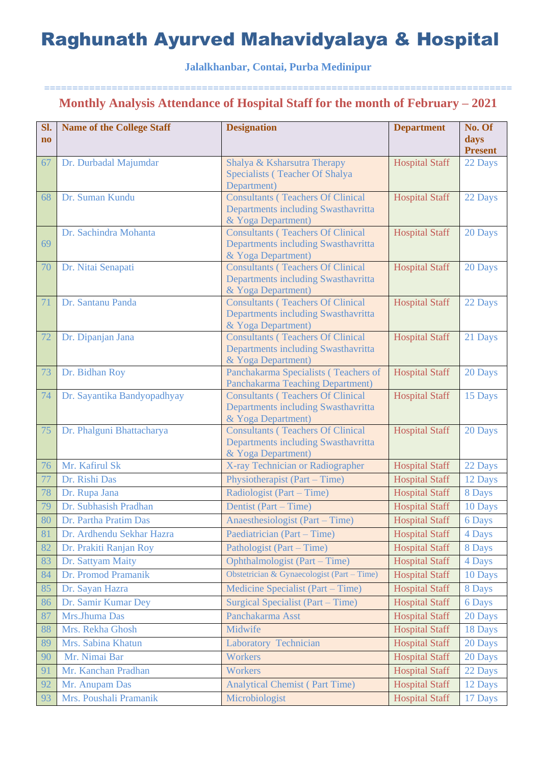**Jalalkhanbar, Contai, Purba Medinipur**

| SI.<br>$\mathbf{n}\mathbf{o}$ | <b>Name of the College Staff</b> | <b>Designation</b>                                             | <b>Department</b>     | No. Of<br>days |
|-------------------------------|----------------------------------|----------------------------------------------------------------|-----------------------|----------------|
|                               |                                  |                                                                |                       | <b>Present</b> |
| 67                            | Dr. Durbadal Majumdar            | Shalya & Ksharsutra Therapy                                    | <b>Hospital Staff</b> | 22 Days        |
|                               |                                  | Specialists (Teacher Of Shalya<br>Department)                  |                       |                |
| 68                            | Dr. Suman Kundu                  | <b>Consultants (Teachers Of Clinical</b>                       | <b>Hospital Staff</b> | 22 Days        |
|                               |                                  | Departments including Swasthavritta                            |                       |                |
|                               |                                  | & Yoga Department)                                             |                       |                |
|                               | Dr. Sachindra Mohanta            | <b>Consultants (Teachers Of Clinical</b>                       | <b>Hospital Staff</b> | 20 Days        |
| 69                            |                                  | Departments including Swasthavritta<br>& Yoga Department)      |                       |                |
| 70                            | Dr. Nitai Senapati               | <b>Consultants (Teachers Of Clinical</b>                       | <b>Hospital Staff</b> | 20 Days        |
|                               |                                  | Departments including Swasthavritta                            |                       |                |
|                               |                                  | & Yoga Department)                                             |                       |                |
| 71                            | Dr. Santanu Panda                | <b>Consultants (Teachers Of Clinical</b>                       | <b>Hospital Staff</b> | 22 Days        |
|                               |                                  | Departments including Swasthavritta                            |                       |                |
| 72                            | Dr. Dipanjan Jana                | & Yoga Department)<br><b>Consultants (Teachers Of Clinical</b> | <b>Hospital Staff</b> | 21 Days        |
|                               |                                  | Departments including Swasthavritta                            |                       |                |
|                               |                                  | & Yoga Department)                                             |                       |                |
| 73                            | Dr. Bidhan Roy                   | Panchakarma Specialists (Teachers of                           | <b>Hospital Staff</b> | 20 Days        |
|                               |                                  | <b>Panchakarma Teaching Department)</b>                        |                       |                |
| 74                            | Dr. Sayantika Bandyopadhyay      | <b>Consultants (Teachers Of Clinical</b>                       | <b>Hospital Staff</b> | 15 Days        |
|                               |                                  | Departments including Swasthavritta<br>& Yoga Department)      |                       |                |
| 75                            | Dr. Phalguni Bhattacharya        | <b>Consultants (Teachers Of Clinical</b>                       | <b>Hospital Staff</b> | 20 Days        |
|                               |                                  | Departments including Swasthavritta                            |                       |                |
|                               |                                  | & Yoga Department)                                             |                       |                |
| 76                            | Mr. Kafirul Sk                   | X-ray Technician or Radiographer                               | <b>Hospital Staff</b> | 22 Days        |
| 77                            | Dr. Rishi Das                    | Physiotherapist (Part – Time)                                  | <b>Hospital Staff</b> | 12 Days        |
| 78                            | Dr. Rupa Jana                    | Radiologist (Part – Time)                                      | <b>Hospital Staff</b> | 8 Days         |
| 79                            | Dr. Subhasish Pradhan            | Dentist (Part – Time)                                          | <b>Hospital Staff</b> | 10 Days        |
| 80                            | Dr. Partha Pratim Das            | Anaesthesiologist (Part – Time)                                | <b>Hospital Staff</b> | 6 Days         |
| 81                            | Dr. Ardhendu Sekhar Hazra        | Paediatrician (Part – Time)                                    | <b>Hospital Staff</b> | 4 Days         |
| 82                            | Dr. Prakiti Ranjan Roy           | Pathologist (Part – Time)                                      | <b>Hospital Staff</b> | 8 Days         |
| 83                            | Dr. Sattyam Maity                | <b>Ophthalmologist (Part – Time)</b>                           | <b>Hospital Staff</b> | 4 Days         |
| 84                            | Dr. Promod Pramanik              | Obstetrician & Gynaecologist (Part – Time)                     | <b>Hospital Staff</b> | 10 Days        |
| 85                            | Dr. Sayan Hazra                  | Medicine Specialist (Part – Time)                              | <b>Hospital Staff</b> | 8 Days         |
| 86                            | Dr. Samir Kumar Dey              | Surgical Specialist (Part – Time)                              | <b>Hospital Staff</b> | 6 Days         |
| 87                            | Mrs.Jhuma Das                    | Panchakarma Asst                                               | <b>Hospital Staff</b> | 20 Days        |
| 88                            | Mrs. Rekha Ghosh                 | Midwife                                                        | <b>Hospital Staff</b> | 18 Days        |
| 89                            | Mrs. Sabina Khatun               | Laboratory Technician                                          | <b>Hospital Staff</b> | 20 Days        |
| 90                            | Mr. Nimai Bar                    | <b>Workers</b>                                                 | <b>Hospital Staff</b> | 20 Days        |
| 91                            | Mr. Kanchan Pradhan              | <b>Workers</b>                                                 | <b>Hospital Staff</b> | 22 Days        |
| 92                            | Mr. Anupam Das                   | <b>Analytical Chemist (Part Time)</b>                          | <b>Hospital Staff</b> | 12 Days        |
| 93                            | Mrs. Poushali Pramanik           | Microbiologist                                                 | <b>Hospital Staff</b> | 17 Days        |